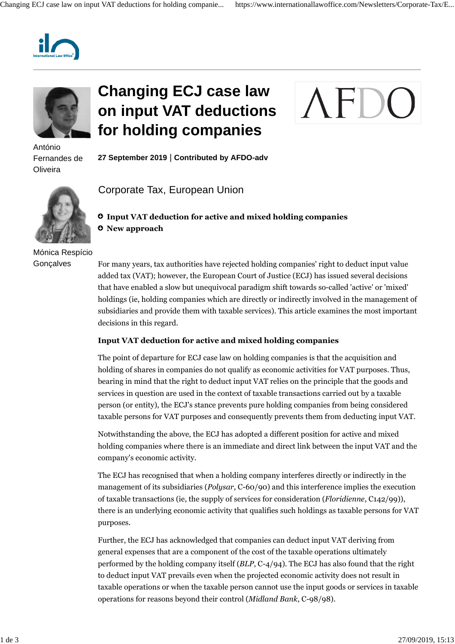



António Fernandes de **Oliveira** 

## **Changing ECJ case law on input VAT deductions for holding companies**



**27 September 2019** | **Contributed by AFDO-adv**



Mónica Respício **Gonçalves** 

Corporate Tax, European Union

## **Input VAT deduction for active and mixed holding companies New approach**

For many years, tax authorities have rejected holding companies' right to deduct input value added tax (VAT); however, the European Court of Justice (ECJ) has issued several decisions that have enabled a slow but unequivocal paradigm shift towards so-called 'active' or 'mixed' holdings (ie, holding companies which are directly or indirectly involved in the management of subsidiaries and provide them with taxable services). This article examines the most important decisions in this regard.

## **Input VAT deduction for active and mixed holding companies**

The point of departure for ECJ case law on holding companies is that the acquisition and holding of shares in companies do not qualify as economic activities for VAT purposes. Thus, bearing in mind that the right to deduct input VAT relies on the principle that the goods and services in question are used in the context of taxable transactions carried out by a taxable person (or entity), the ECJ's stance prevents pure holding companies from being considered taxable persons for VAT purposes and consequently prevents them from deducting input VAT.

Notwithstanding the above, the ECJ has adopted a different position for active and mixed holding companies where there is an immediate and direct link between the input VAT and the company's economic activity.

The ECJ has recognised that when a holding company interferes directly or indirectly in the management of its subsidiaries (*Polysar*, C-60/90) and this interference implies the execution of taxable transactions (ie, the supply of services for consideration (*Floridienne*, C142/99)), there is an underlying economic activity that qualifies such holdings as taxable persons for VAT purposes.

Further, the ECJ has acknowledged that companies can deduct input VAT deriving from general expenses that are a component of the cost of the taxable operations ultimately performed by the holding company itself (*BLP*, C-4/94). The ECJ has also found that the right to deduct input VAT prevails even when the projected economic activity does not result in taxable operations or when the taxable person cannot use the input goods or services in taxable operations for reasons beyond their control (*Midland Bank*, C-98/98).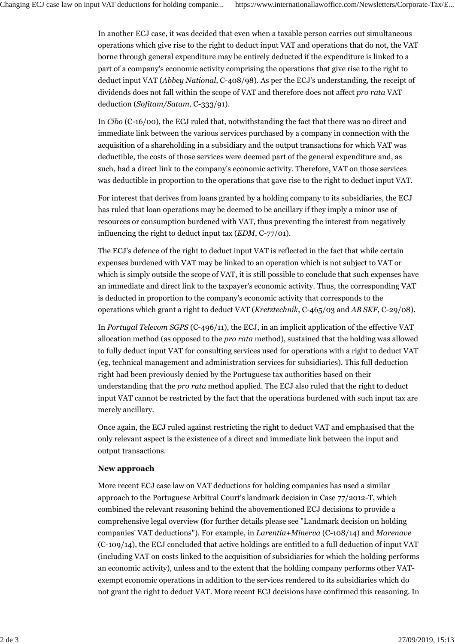In another ECJ case, it was decided that even when a taxable person carries out simultaneous operations which give rise to the right to deduct input VAT and operations that do not, the VAT borne through general expenditure may be entirely deducted if the expenditure is linked to a part of a company's economic activity comprising the operations that give rise to the right to deduct input VAT (*Abbey National*, C-408/98). As per the ECJ's understanding, the receipt of dividends does not fall within the scope of VAT and therefore does not affect *pro rata* VAT deduction (*Sofitam/Satam*, C-333/91).

In *Cibo* (C-16/00), the ECJ ruled that, notwithstanding the fact that there was no direct and immediate link between the various services purchased by a company in connection with the acquisition of a shareholding in a subsidiary and the output transactions for which VAT was deductible, the costs of those services were deemed part of the general expenditure and, as such, had a direct link to the company's economic activity. Therefore, VAT on those services was deductible in proportion to the operations that gave rise to the right to deduct input VAT.

For interest that derives from loans granted by a holding company to its subsidiaries, the ECJ has ruled that loan operations may be deemed to be ancillary if they imply a minor use of resources or consumption burdened with VAT, thus preventing the interest from negatively influencing the right to deduct input tax (*EDM*, C-77/01).

The ECJ's defence of the right to deduct input VAT is reflected in the fact that while certain expenses burdened with VAT may be linked to an operation which is not subject to VAT or which is simply outside the scope of VAT, it is still possible to conclude that such expenses have an immediate and direct link to the taxpayer's economic activity. Thus, the corresponding VAT is deducted in proportion to the company's economic activity that corresponds to the operations which grant a right to deduct VAT (*Kretztechnik*, C-465/03 and *AB SKF*, C-29/08).

In *Portugal Telecom SGPS* (C-496/11), the ECJ, in an implicit application of the effective VAT allocation method (as opposed to the *pro rata* method), sustained that the holding was allowed to fully deduct input VAT for consulting services used for operations with a right to deduct VAT (eg, technical management and administration services for subsidiaries). This full deduction right had been previously denied by the Portuguese tax authorities based on their understanding that the *pro rata* method applied. The ECJ also ruled that the right to deduct input VAT cannot be restricted by the fact that the operations burdened with such input tax are merely ancillary.

Once again, the ECJ ruled against restricting the right to deduct VAT and emphasised that the only relevant aspect is the existence of a direct and immediate link between the input and output transactions.

## **New approach**

More recent ECJ case law on VAT deductions for holding companies has used a similar approach to the Portuguese Arbitral Court's landmark decision in Case 77/2012-T, which combined the relevant reasoning behind the abovementioned ECJ decisions to provide a comprehensive legal overview (for further details please see "Landmark decision on holding companies' VAT deductions"). For example, in *Larentia+Minerva* (C-108/14) and *Marenave* (C-109/14), the ECJ concluded that active holdings are entitled to a full deduction of input VAT (including VAT on costs linked to the acquisition of subsidiaries for which the holding performs an economic activity), unless and to the extent that the holding company performs other VATexempt economic operations in addition to the services rendered to its subsidiaries which do not grant the right to deduct VAT. More recent ECJ decisions have confirmed this reasoning. In